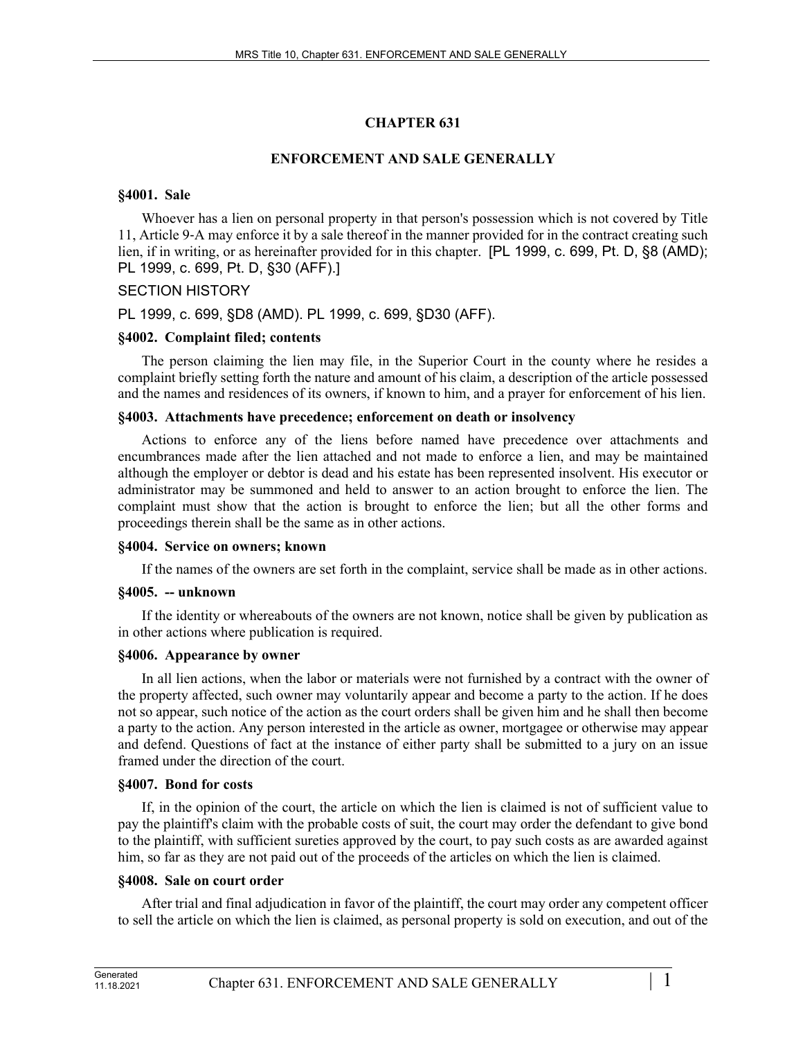# **CHAPTER 631**

### **ENFORCEMENT AND SALE GENERALLY**

#### **§4001. Sale**

Whoever has a lien on personal property in that person's possession which is not covered by Title 11, Article 9‑A may enforce it by a sale thereof in the manner provided for in the contract creating such lien, if in writing, or as hereinafter provided for in this chapter. [PL 1999, c. 699, Pt. D, §8 (AMD); PL 1999, c. 699, Pt. D, §30 (AFF).]

### SECTION HISTORY

PL 1999, c. 699, §D8 (AMD). PL 1999, c. 699, §D30 (AFF).

### **§4002. Complaint filed; contents**

The person claiming the lien may file, in the Superior Court in the county where he resides a complaint briefly setting forth the nature and amount of his claim, a description of the article possessed and the names and residences of its owners, if known to him, and a prayer for enforcement of his lien.

#### **§4003. Attachments have precedence; enforcement on death or insolvency**

Actions to enforce any of the liens before named have precedence over attachments and encumbrances made after the lien attached and not made to enforce a lien, and may be maintained although the employer or debtor is dead and his estate has been represented insolvent. His executor or administrator may be summoned and held to answer to an action brought to enforce the lien. The complaint must show that the action is brought to enforce the lien; but all the other forms and proceedings therein shall be the same as in other actions.

#### **§4004. Service on owners; known**

If the names of the owners are set forth in the complaint, service shall be made as in other actions.

#### **§4005. -- unknown**

If the identity or whereabouts of the owners are not known, notice shall be given by publication as in other actions where publication is required.

#### **§4006. Appearance by owner**

In all lien actions, when the labor or materials were not furnished by a contract with the owner of the property affected, such owner may voluntarily appear and become a party to the action. If he does not so appear, such notice of the action as the court orders shall be given him and he shall then become a party to the action. Any person interested in the article as owner, mortgagee or otherwise may appear and defend. Questions of fact at the instance of either party shall be submitted to a jury on an issue framed under the direction of the court.

#### **§4007. Bond for costs**

If, in the opinion of the court, the article on which the lien is claimed is not of sufficient value to pay the plaintiff's claim with the probable costs of suit, the court may order the defendant to give bond to the plaintiff, with sufficient sureties approved by the court, to pay such costs as are awarded against him, so far as they are not paid out of the proceeds of the articles on which the lien is claimed.

#### **§4008. Sale on court order**

After trial and final adjudication in favor of the plaintiff, the court may order any competent officer to sell the article on which the lien is claimed, as personal property is sold on execution, and out of the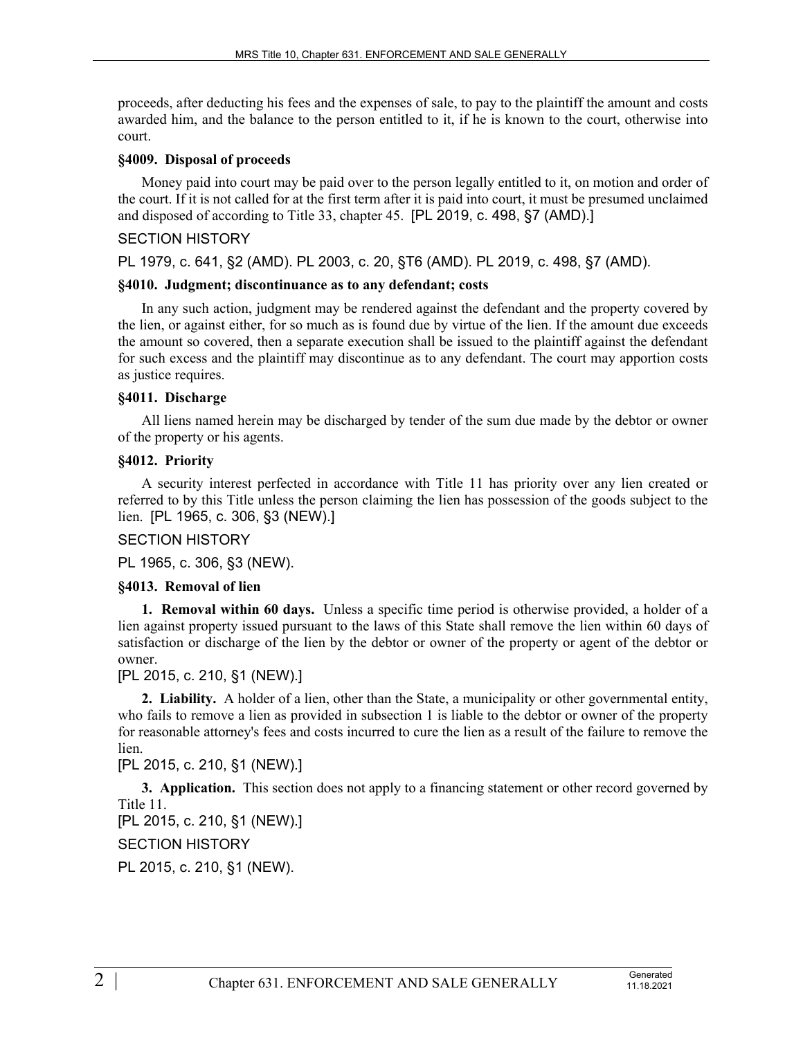proceeds, after deducting his fees and the expenses of sale, to pay to the plaintiff the amount and costs awarded him, and the balance to the person entitled to it, if he is known to the court, otherwise into court.

### **§4009. Disposal of proceeds**

Money paid into court may be paid over to the person legally entitled to it, on motion and order of the court. If it is not called for at the first term after it is paid into court, it must be presumed unclaimed and disposed of according to Title 33, chapter 45. [PL 2019, c. 498, §7 (AMD).]

### SECTION HISTORY

PL 1979, c. 641, §2 (AMD). PL 2003, c. 20, §T6 (AMD). PL 2019, c. 498, §7 (AMD).

### **§4010. Judgment; discontinuance as to any defendant; costs**

In any such action, judgment may be rendered against the defendant and the property covered by the lien, or against either, for so much as is found due by virtue of the lien. If the amount due exceeds the amount so covered, then a separate execution shall be issued to the plaintiff against the defendant for such excess and the plaintiff may discontinue as to any defendant. The court may apportion costs as justice requires.

### **§4011. Discharge**

All liens named herein may be discharged by tender of the sum due made by the debtor or owner of the property or his agents.

### **§4012. Priority**

A security interest perfected in accordance with Title 11 has priority over any lien created or referred to by this Title unless the person claiming the lien has possession of the goods subject to the lien. [PL 1965, c. 306, §3 (NEW).]

# SECTION HISTORY

PL 1965, c. 306, §3 (NEW).

# **§4013. Removal of lien**

**1. Removal within 60 days.** Unless a specific time period is otherwise provided, a holder of a lien against property issued pursuant to the laws of this State shall remove the lien within 60 days of satisfaction or discharge of the lien by the debtor or owner of the property or agent of the debtor or owner.

[PL 2015, c. 210, §1 (NEW).]

**2. Liability.** A holder of a lien, other than the State, a municipality or other governmental entity, who fails to remove a lien as provided in subsection 1 is liable to the debtor or owner of the property for reasonable attorney's fees and costs incurred to cure the lien as a result of the failure to remove the lien.

# [PL 2015, c. 210, §1 (NEW).]

**3. Application.** This section does not apply to a financing statement or other record governed by Title 11.

```
[PL 2015, c. 210, §1 (NEW).]
```
SECTION HISTORY

PL 2015, c. 210, §1 (NEW).